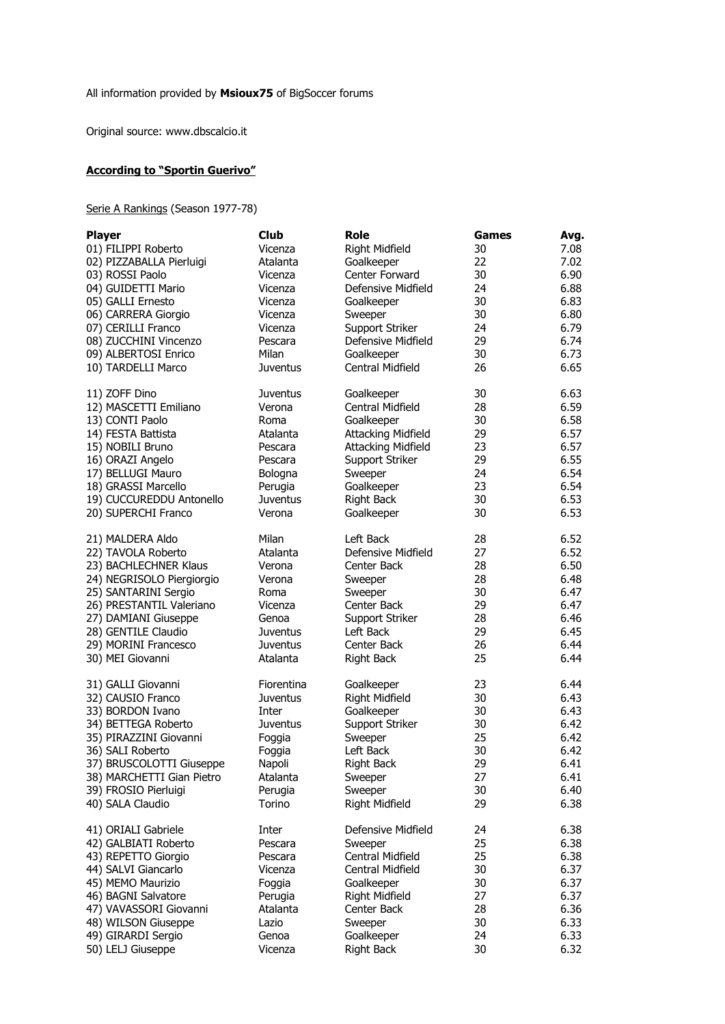Original source: www.dbscalcio.it

## **According to "Sportin Guerivo"**

## Serie A Rankings (Season 1977-78)

| <b>Player</b>             | <b>Club</b>     | Role                      | Games | Avg. |
|---------------------------|-----------------|---------------------------|-------|------|
| 01) FILIPPI Roberto       | Vicenza         | Right Midfield            | 30    | 7.08 |
| 02) PIZZABALLA Pierluigi  | Atalanta        | Goalkeeper                | 22    | 7.02 |
| 03) ROSSI Paolo           | Vicenza         | Center Forward            | 30    | 6.90 |
| 04) GUIDETTI Mario        | Vicenza         | Defensive Midfield        | 24    | 6.88 |
| 05) GALLI Ernesto         | Vicenza         | Goalkeeper                | 30    | 6.83 |
| 06) CARRERA Giorgio       | Vicenza         | Sweeper                   | 30    | 6.80 |
| 07) CERILLI Franco        | Vicenza         | Support Striker           | 24    | 6.79 |
| 08) ZUCCHINI Vincenzo     | Pescara         | Defensive Midfield        | 29    | 6.74 |
| 09) ALBERTOSI Enrico      | Milan           | Goalkeeper                | 30    | 6.73 |
|                           | <b>Juventus</b> | Central Midfield          | 26    | 6.65 |
| 10) TARDELLI Marco        |                 |                           |       |      |
| 11) ZOFF Dino             | <b>Juventus</b> | Goalkeeper                | 30    | 6.63 |
| 12) MASCETTI Emiliano     | Verona          | Central Midfield          | 28    | 6.59 |
| 13) CONTI Paolo           | Roma            | Goalkeeper                | 30    | 6.58 |
| 14) FESTA Battista        | Atalanta        | <b>Attacking Midfield</b> | 29    | 6.57 |
| 15) NOBILI Bruno          | Pescara         | <b>Attacking Midfield</b> | 23    | 6.57 |
| 16) ORAZI Angelo          | Pescara         | Support Striker           | 29    | 6.55 |
| 17) BELLUGI Mauro         | Bologna         | Sweeper                   | 24    | 6.54 |
| 18) GRASSI Marcello       | Perugia         | Goalkeeper                | 23    | 6.54 |
| 19) CUCCUREDDU Antonello  | <b>Juventus</b> | <b>Right Back</b>         | 30    | 6.53 |
|                           |                 |                           |       |      |
| 20) SUPERCHI Franco       | Verona          | Goalkeeper                | 30    | 6.53 |
| 21) MALDERA Aldo          | Milan           | Left Back                 | 28    | 6.52 |
| 22) TAVOLA Roberto        | Atalanta        | Defensive Midfield        | 27    | 6.52 |
| 23) BACHLECHNER Klaus     | Verona          | Center Back               | 28    | 6.50 |
| 24) NEGRISOLO Piergiorgio | Verona          | Sweeper                   | 28    | 6.48 |
| 25) SANTARINI Sergio      | Roma            | Sweeper                   | 30    | 6.47 |
| 26) PRESTANTIL Valeriano  | Vicenza         | Center Back               | 29    | 6.47 |
| 27) DAMIANI Giuseppe      | Genoa           | Support Striker           | 28    | 6.46 |
| 28) GENTILE Claudio       | <b>Juventus</b> | Left Back                 | 29    | 6.45 |
| 29) MORINI Francesco      | <b>Juventus</b> | Center Back               | 26    | 6.44 |
| 30) MEI Giovanni          | Atalanta        | <b>Right Back</b>         | 25    | 6.44 |
|                           |                 |                           |       |      |
| 31) GALLI Giovanni        | Fiorentina      | Goalkeeper                | 23    | 6.44 |
| 32) CAUSIO Franco         | <b>Juventus</b> | Right Midfield            | 30    | 6.43 |
| 33) BORDON Ivano          | Inter           | Goalkeeper                | 30    | 6.43 |
| 34) BETTEGA Roberto       | Juventus        | Support Striker           | 30    | 6.42 |
| 35) PIRAZZINI Giovanni    | Foggia          | Sweeper                   | 25    | 6.42 |
| 36) SALI Roberto          | Foggia          | Left Back                 | 30    | 6.42 |
| 37) BRUSCOLOTTI Giuseppe  | Napoli          | <b>Right Back</b>         | 29    | 6.41 |
| 38) MARCHETTI Gian Pietro | Atalanta        | Sweeper                   | 27    | 6.41 |
| 39) FROSIO Pierluigi      | Perugia         | Sweeper                   | 30    | 6.40 |
| 40) SALA Claudio          | Torino          | Right Midfield            | 29    | 6.38 |
|                           |                 |                           |       |      |
| 41) ORIALI Gabriele       | Inter           | Defensive Midfield        | 24    | 6.38 |
| 42) GALBIATI Roberto      | Pescara         | Sweeper                   | 25    | 6.38 |
| 43) REPETTO Giorgio       | Pescara         | Central Midfield          | 25    | 6.38 |
| 44) SALVI Giancarlo       | Vicenza         | Central Midfield          | 30    | 6.37 |
| 45) MEMO Maurizio         | Foggia          | Goalkeeper                | 30    | 6.37 |
| 46) BAGNI Salvatore       | Perugia         | Right Midfield            | 27    | 6.37 |
| 47) VAVASSORI Giovanni    | Atalanta        | Center Back               | 28    | 6.36 |
| 48) WILSON Giuseppe       | Lazio           | Sweeper                   | 30    | 6.33 |
| 49) GIRARDI Sergio        | Genoa           | Goalkeeper                | 24    | 6.33 |
| 50) LELJ Giuseppe         | Vicenza         | <b>Right Back</b>         | 30    | 6.32 |